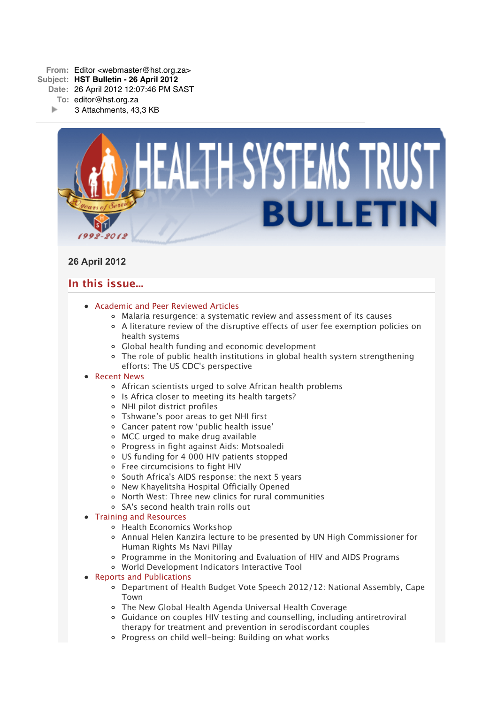

# **26 April 2012**

# **In this issue...**

- [Academic and Peer Reviewed Articles](x-msg://62/#Academic)
	- [Malaria resurgence: a systematic review and assessment of its causes](x-msg://62/#A_1)
	- [A literature review of the disruptive effects of user fee exemption policies on](x-msg://62/#A_2) health systems
	- [Global health funding and economic development](x-msg://62/#A_3)
	- [The role of public health institutions in global health system strengthening](x-msg://62/#A_4) efforts: The US CDC's perspective

## • [Recent News](x-msg://62/#recent)

- [African scientists urged to solve African health problems](x-msg://62/#N_1)
- o [Is Africa closer to meeting its health targets?](x-msg://62/#N_2)
- [NHI pilot district profiles](x-msg://62/#N_3)
- [Tshwane's poor areas to get NHI first](x-msg://62/#N_4)
- Cancer patent row 'public health issue'
- [MCC urged to make drug available](x-msg://62/#N_6)
- [Progress in fight against Aids: Motsoaledi](x-msg://62/#N_7)
- [US funding for 4 000 HIV patients stopped](x-msg://62/#N_8)
- [Free circumcisions to fight HIV](x-msg://62/#N_9)
- o [South Africa's AIDS response: the next 5 years](x-msg://62/#N_10)
- [New Khayelitsha Hospital Officially Opened](x-msg://62/#N_11)
- [North West: Three new clinics for rural communities](x-msg://62/#N_12)
- [SA's second health train rolls out](x-msg://62/#N_13)

## • [Training and Resources](x-msg://62/#train)

- [Health Economics Workshop](x-msg://62/#T_1)
- [Annual Helen Kanzira lecture to be presented by UN High Commissioner for](x-msg://62/#T_2) Human Rights Ms Navi Pillay
- [Programme in the Monitoring and Evaluation of HIV and AIDS Programs](x-msg://62/#T_3)
- [World Development Indicators Interactive Tool](x-msg://62/#T_4)

## • [Reports and Publications](x-msg://62/#publications)

- Department of Health Budget Vote Speech 2012/12: National Assembly, Cape Town
- The New Global Health Agenda Universal Health Coverage
- Guidance on couples HIV testing and counselling, including antiretroviral therapy for treatment and prevention in serodiscordant couples
- Progress on child well-being: Building on what works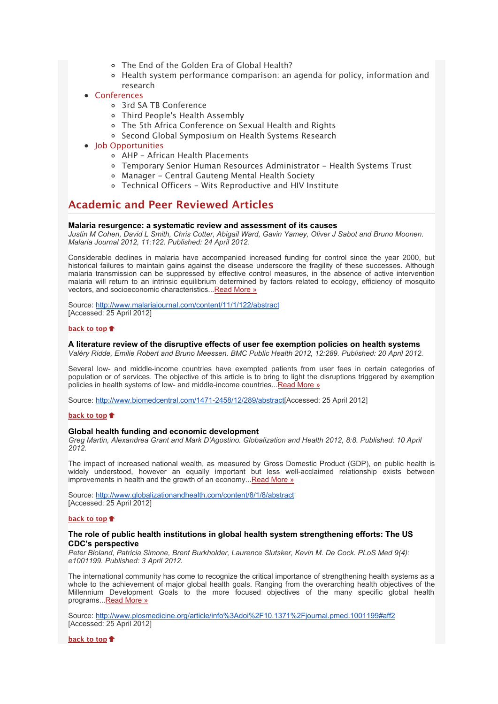- The End of the Golden Era of Global Health?
- Health system performance comparison: an agenda for policy, information and research
- [Conferences](x-msg://62/#conferences)
	- [3rd SA TB Conference](x-msg://62/#C_4)
	- [Third People's Health Assembly](x-msg://62/#C_5)
	- [The 5th Africa Conference on Sexual Health and Rights](x-msg://62/#C_6)
	- o [Second Global Symposium on Health Systems Research](x-msg://62/#C_7)
- Iob Opportunities
	- [AHP African Health Placements](x-msg://62/#J_0)
	- [Temporary Senior Human Resources Administrator Health Systems Trust](x-msg://62/#J_1)
	- [Manager Central Gauteng Mental Health Society](x-msg://62/#J_2)
	- Technical Officers Wits Reproductive and HIV Institute

# **Academic and Peer Reviewed Articles**

## **Malaria resurgence: a systematic review and assessment of its causes**

*Justin M Cohen, David L Smith, Chris Cotter, Abigail Ward, Gavin Yamey, Oliver J Sabot and Bruno Moonen. Malaria Journal 2012, 11:122. Published: 24 April 2012.*

Considerable declines in malaria have accompanied increased funding for control since the year 2000, but historical failures to maintain gains against the disease underscore the fragility of these successes. Although malaria transmission can be suppressed by effective control measures, in the absence of active intervention malaria will return to an intrinsic equilibrium determined by factors related to ecology, efficiency of mosquito vectors, and socioeconomic characteristics..[.Read More »](http://bulletin.hst.org.za//lt.php?id=K09UD1FcUQUOSlBVA0UHClxV)

Source: [http://www.malariajournal.com/content/11/1/122/abstract](http://bulletin.hst.org.za//lt.php?id=K09UD1FcUQUOSlBVA0UHClxV) [Accessed: 25 April 2012]

## **[back to top](x-msg://62/#top)**

## **A literature review of the disruptive effects of user fee exemption policies on health systems**

*Valéry Ridde, Emilie Robert and Bruno Meessen. BMC Public Health 2012, 12:289. Published: 20 April 2012.*

Several low- and middle-income countries have exempted patients from user fees in certain categories of population or of services. The objective of this article is to bring to light the disruptions triggered by exemption policies in health systems of low- and middle-income countries..[.Read More »](http://bulletin.hst.org.za//lt.php?id=K09UD1FcUQIHSlBVA0UHClxV)

Source: [http://www.biomedcentral.com/1471-2458/12/289/abstract\[](http://bulletin.hst.org.za//lt.php?id=K09UD1FcUQIHSlBVA0UHClxV)Accessed: 25 April 2012]

### **[back to top](x-msg://62/#top)**

#### **Global health funding and economic development**

*Greg Martin, Alexandrea Grant and Mark D'Agostino. Globalization and Health 2012, 8:8. Published: 10 April 2012.*

The impact of increased national wealth, as measured by Gross Domestic Product (GDP), on public health is widely understood, however an equally important but less well-acclaimed relationship exists between improvements in health and the growth of an economy..[.Read More »](http://bulletin.hst.org.za//lt.php?id=K09UD1FcUQIGSlBVA0UHClxV)

Source: [http://www.globalizationandhealth.com/content/8/1/8/abstract](http://bulletin.hst.org.za//lt.php?id=K09UD1FcUQIGSlBVA0UHClxV) [Accessed: 25 April 2012]

## **[back to top](x-msg://62/#top)**

## **The role of public health institutions in global health system strengthening efforts: The US CDC's perspective**

*Peter Bloland, Patricia Simone, Brent Burkholder, Laurence Slutsker, Kevin M. De Cock. PLoS Med 9(4): e1001199. Published: 3 April 2012.*

The international community has come to recognize the critical importance of strengthening health systems as a whole to the achievement of major global health goals. Ranging from the overarching health objectives of the Millennium Development Goals to the more focused objectives of the many specific global health programs..[.Read More »](http://bulletin.hst.org.za//lt.php?id=K09UD1FcUQIFSlBVA0UHClxV)

Source: [http://www.plosmedicine.org/article/info%3Adoi%2F10.1371%2Fjournal.pmed.1001199#aff2](http://bulletin.hst.org.za//lt.php?id=K09UD1FcUQIFSlBVA0UHClxV) [Accessed: 25 April 2012]

**[back to top](x-msg://62/#top)**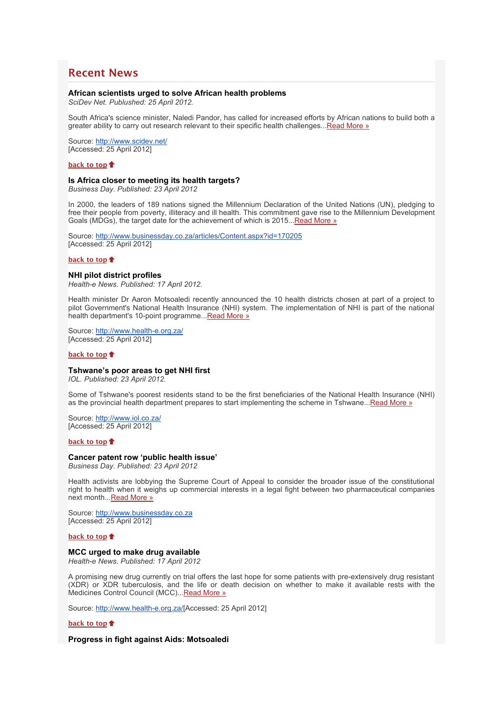# **Recent News**

#### **African scientists urged to solve African health problems**

*SciDev Net. Publushed: 25 April 2012.*

South Africa's science minister, Naledi Pandor, has called for increased efforts by African nations to build both a greater ability to carry out research relevant to their specific health challenges..[.Read More »](http://bulletin.hst.org.za//lt.php?id=K09UD1FcUQIESlBVA0UHClxV)

Source: [http://www.scidev.net/](http://bulletin.hst.org.za//lt.php?id=K09UD1FcUQIDSlBVA0UHClxV) [Accessed: 25 April 2012]

### **[back to top](x-msg://62/#top)**

#### **Is Africa closer to meeting its health targets?**

*Business Day. Published: 23 April 2012*

In 2000, the leaders of 189 nations signed the Millennium Declaration of the United Nations (UN), pledging to free their people from poverty, illiteracy and ill health. This commitment gave rise to the Millennium Development Goals (MDGs), the target date for the achievement of which is 2015..[.Read More »](http://bulletin.hst.org.za//lt.php?id=K09UD1FcUQICSlBVA0UHClxV)

Source: [http://www.businessday.co.za/articles/Content.aspx?id=170205](http://bulletin.hst.org.za//lt.php?id=K09UD1FcUQIBSlBVA0UHClxV) [Accessed: 25 April 2012]

### **[back to top](x-msg://62/#top)**

## **NHI pilot district profiles**

*Health-e News. Published: 17 April 2012.*

Health minister Dr Aaron Motsoaledi recently announced the 10 health districts chosen at part of a project to pilot Government's National Health Insurance (NHI) system. The implementation of NHI is part of the national health department's 10-point programme... Read More »

Source: [http://www.health-e.org.za/](http://bulletin.hst.org.za//lt.php?id=K09UD1FcUQIPSlBVA0UHClxV) [Accessed: 25 April 2012]

#### **[back to top](x-msg://62/#top)**

#### **Tshwane's poor areas to get NHI first**

*IOL. Published: 23 April 2012.*

Some of Tshwane's poorest residents stand to be the first beneficiaries of the National Health Insurance (NHI) as the provincial health department prepares to start implementing the scheme in Tshwane..[.Read More »](http://bulletin.hst.org.za//lt.php?id=K09UD1FcUQIOSlBVA0UHClxV)

Source: [http://www.iol.co.za/](http://bulletin.hst.org.za//lt.php?id=K09UD1FcUQMHSlBVA0UHClxV) [Accessed: 25 April 2012]

#### **[back to top](x-msg://62/#top)**

#### **Cancer patent row 'public health issue'**

*Business Day. Published: 23 April 2012*

Health activists are lobbying the Supreme Court of Appeal to consider the broader issue of the constitutional right to health when it weighs up commercial interests in a legal fight between two pharmaceutical companies next month..[.Read More »](http://bulletin.hst.org.za//lt.php?id=K09UD1FcUQMGSlBVA0UHClxV)

Source: [http://www.businessday.co.za](http://bulletin.hst.org.za//lt.php?id=K09UD1FcUQMFSlBVA0UHClxV) [Accessed: 25 April 2012]

#### **[back to top](x-msg://62/#top)**

#### **MCC urged to make drug available**

*Health-e News. Published: 17 April 2012*

A promising new drug currently on trial offers the last hope for some patients with pre-extensively drug resistant (XDR) or XDR tuberculosis, and the life or death decision on whether to make it available rests with the Medicines Control Council (MCC)... Read More »

Source: [http://www.health-e.org.za/](http://bulletin.hst.org.za//lt.php?id=K09UD1FcUQMDSlBVA0UHClxV)[Accessed: 25 April 2012]

#### **[back to top](x-msg://62/#top)**

**Progress in fight against Aids: Motsoaledi**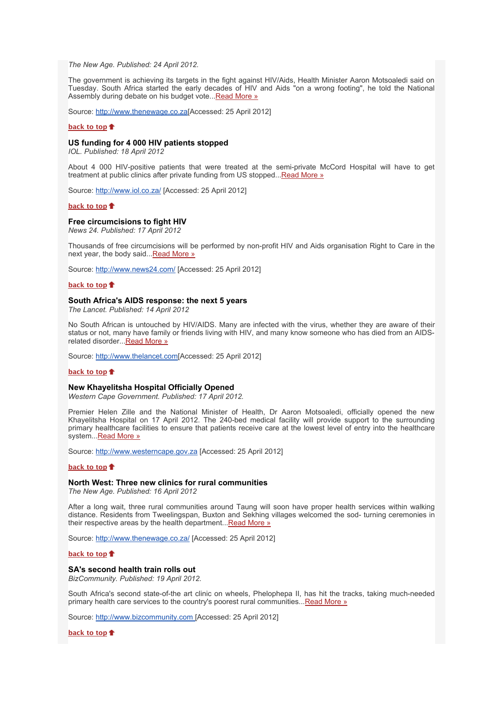*The New Age. Published: 24 April 2012.*

The government is achieving its targets in the fight against HIV/Aids, Health Minister Aaron Motsoaledi said on Tuesday. South Africa started the early decades of HIV and Aids "on a wrong footing", he told the National Assembly during debate on his budget vote... [Read More »](http://bulletin.hst.org.za//lt.php?id=K09UD1FcUQMCSlBVA0UHClxV)

Source: [http://www.thenewage.co.za\[](http://bulletin.hst.org.za//lt.php?id=K09UD1FcUQMBSlBVA0UHClxV)Accessed: 25 April 2012]

#### **[back to top](x-msg://62/#top)**

#### **US funding for 4 000 HIV patients stopped**

*IOL. Published: 18 April 2012*

About 4 000 HIV-positive patients that were treated at the semi-private McCord Hospital will have to get treatment at public clinics after private funding from US stopped... Read More »

Source: [http://www.iol.co.za/](http://bulletin.hst.org.za//lt.php?id=K09UD1FcUQMPSlBVA0UHClxV) [Accessed: 25 April 2012]

#### **[back to top](x-msg://62/#top)**

#### **Free circumcisions to fight HIV**

*News 24. Published: 17 April 2012*

Thousands of free circumcisions will be performed by non-profit HIV and Aids organisation Right to Care in the next year, the body said..[.Read More »](http://bulletin.hst.org.za//lt.php?id=K09UD1FcUQMOSlBVA0UHClxV)

Source: [http://www.news24.com/](http://bulletin.hst.org.za//lt.php?id=K09UD1FcUQAHSlBVA0UHClxV) [Accessed: 25 April 2012]

#### **[back to top](x-msg://62/#top)**

#### **South Africa's AIDS response: the next 5 years**

*The Lancet. Published: 14 April 2012*

No South African is untouched by HIV/AIDS. Many are infected with the virus, whether they are aware of their status or not, many have family or friends living with HIV, and many know someone who has died from an AIDSrelated disorder... Read More »

Source: [http://www.thelancet.com\[](http://bulletin.hst.org.za//lt.php?id=K09UD1FcUQAFSlBVA0UHClxV)Accessed: 25 April 2012]

#### **[back to top](x-msg://62/#top)**

## **New Khayelitsha Hospital Officially Opened**

*Western Cape Government. Published: 17 April 2012.*

Premier Helen Zille and the National Minister of Health, Dr Aaron Motsoaledi, officially opened the new Khayelitsha Hospital on 17 April 2012. The 240-bed medical facility will provide support to the surrounding primary healthcare facilities to ensure that patients receive care at the lowest level of entry into the healthcare system...[Read More »](http://bulletin.hst.org.za//lt.php?id=K09UD1FcUQAESlBVA0UHClxV)

Source: [http://www.westerncape.gov.za](http://bulletin.hst.org.za//lt.php?id=K09UD1FcUQADSlBVA0UHClxV) [Accessed: 25 April 2012]

#### **[back to top](x-msg://62/#top)**

#### **North West: Three new clinics for rural communities**

*The New Age. Published: 16 April 2012*

After a long wait, three rural communities around Taung will soon have proper health services within walking distance. Residents from Tweelingspan, Buxton and Sekhing villages welcomed the sod- turning ceremonies in their respective areas by the health department... [Read More »](http://bulletin.hst.org.za//lt.php?id=K09UD1FcUQACSlBVA0UHClxV)

Source: [http://www.thenewage.co.za/](http://bulletin.hst.org.za//lt.php?id=K09UD1FcUQABSlBVA0UHClxV) [Accessed: 25 April 2012]

#### **[back to top](x-msg://62/#top)**

#### **SA's second health train rolls out**

*BizCommunity. Published: 19 April 2012.*

South Africa's second state-of-the art clinic on wheels, Phelophepa II, has hit the tracks, taking much-needed primary health care services to the country's poorest rural communities... Read More »

Source: [http://www.bizcommunity.com \[](http://bulletin.hst.org.za//lt.php?id=K09UD1FcUQAPSlBVA0UHClxV)Accessed: 25 April 2012]

**[back to top](x-msg://62/#top)**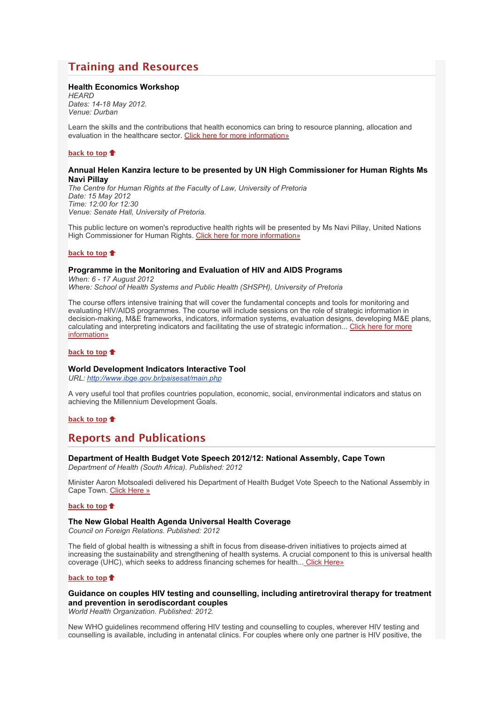# **Training and Resources**

## **Health Economics Workshop**

*HEARD Dates: 14-18 May 2012. Venue: Durban*

Learn the skills and the contributions that health economics can bring to resource planning, allocation and evaluation in the healthcare sector. [Click here for more information»](http://bulletin.hst.org.za//lt.php?id=K09UD1FcUQAOSlBVA0UHClxV)

## **[back to top](x-msg://62/#top)**

## **Annual Helen Kanzira lecture to be presented by UN High Commissioner for Human Rights Ms Navi Pillay**

*The Centre for Human Rights at the Faculty of Law, University of Pretoria Date: 15 May 2012 Time: 12:00 for 12:30 Venue: Senate Hall, University of Pretoria.*

This public lecture on women's reproductive health rights will be presented by Ms Navi Pillay, United Nations High Commissioner for Human Rights. [Click here for more information»](http://bulletin.hst.org.za//lt.php?id=K09UD1FcUQEHSlBVA0UHClxV)

#### **[back to top](x-msg://62/#top)**

## **Programme in the Monitoring and Evaluation of HIV and AIDS Programs**

*When: 6 - 17 August 2012 Where: School of Health Systems and Public Health (SHSPH), University of Pretoria*

The course offers intensive training that will cover the fundamental concepts and tools for monitoring and evaluating HIV/AIDS programmes. The course will include sessions on the role of strategic information in decision-making, M&E frameworks, indicators, information systems, evaluation designs, developing M&E plans, [calculating and interpreting indicators and facilitating the use of strategic information... Click here for more](http://bulletin.hst.org.za//lt.php?id=K09UD1FcUQEGSlBVA0UHClxV) information»

## **[back to top](x-msg://62/#top)**

## **World Development Indicators Interactive Tool**

*URL: [http://www.ibge.gov.br/paisesat/main.php](http://bulletin.hst.org.za//lt.php?id=K09UD1FcUQEFSlBVA0UHClxV)*

A very useful tool that profiles countries population, economic, social, environmental indicators and status on achieving the Millennium Development Goals.

**[back to top](x-msg://62/#top)**

# **Reports and Publications**

#### **Department of Health Budget Vote Speech 2012/12: National Assembly, Cape Town** *Department of Health (South Africa). Published: 2012*

Minister Aaron Motsoaledi delivered his Department of Health Budget Vote Speech to the National Assembly in Cape Town. [Click Here »](http://bulletin.hst.org.za//lt.php?id=K09UD1FcUQEESlBVA0UHClxV)

#### **[back to top](x-msg://62/#top)**

### **The New Global Health Agenda Universal Health Coverage**

*Council on Foreign Relations. Published: 2012*

The field of global health is witnessing a shift in focus from disease-driven initiatives to projects aimed at increasing the sustainability and strengthening of health systems. A crucial component to this is universal health coverage (UHC), which seeks to address financing schemes for health... [Click Here»](http://bulletin.hst.org.za//lt.php?id=K09UD1FcUQEDSlBVA0UHClxV)

#### **[back to top](x-msg://62/#top)**

**Guidance on couples HIV testing and counselling, including antiretroviral therapy for treatment and prevention in serodiscordant couples**

*World Health Organization. Published: 2012.*

New WHO guidelines recommend offering HIV testing and counselling to couples, wherever HIV testing and counselling is available, including in antenatal clinics. For couples where only one partner is HIV positive, the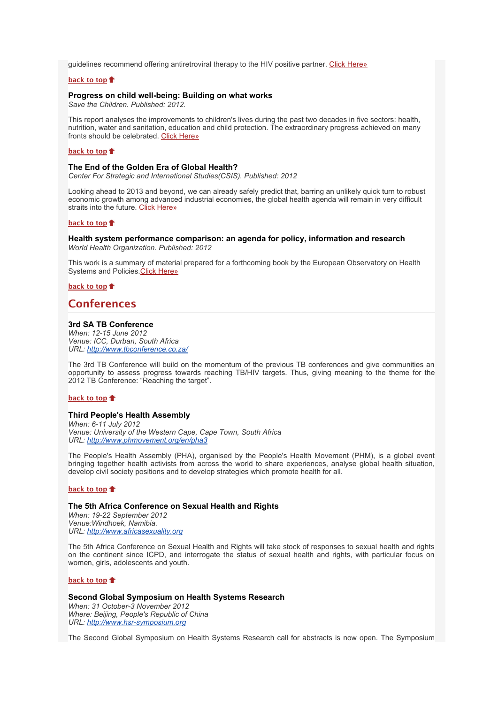guidelines recommend offering antiretroviral therapy to the HIV positive partner. [Click Here»](http://bulletin.hst.org.za//lt.php?id=K09UD1FcUQECSlBVA0UHClxV)

## **[back to top](x-msg://62/#top)**

#### **Progress on child well-being: Building on what works**

*Save the Children. Published: 2012.*

This report analyses the improvements to children's lives during the past two decades in five sectors: health, nutrition, water and sanitation, education and child protection. The extraordinary progress achieved on many fronts should be celebrated. [Click Here»](http://bulletin.hst.org.za//lt.php?id=K09UD1FcUQEBSlBVA0UHClxV)

#### **[back to top](x-msg://62/#top)**

### **The End of the Golden Era of Global Health?**

*Center For Strategic and International Studies(CSIS). Published: 2012*

Looking ahead to 2013 and beyond, we can already safely predict that, barring an unlikely quick turn to robust economic growth among advanced industrial economies, the global health agenda will remain in very difficult straits into the future. [Click Here»](http://bulletin.hst.org.za//lt.php?id=K09UD1FcUQEASlBVA0UHClxV)

## **[back to top](x-msg://62/#top)**

### **Health system performance comparison: an agenda for policy, information and research** *World Health Organization. Published: 2012*

This work is a summary of material prepared for a forthcoming book by the European Observatory on Health Systems and Policies[.Click Here»](http://bulletin.hst.org.za//lt.php?id=K09UD1FcUQEPSlBVA0UHClxV)

**[back to top](x-msg://62/#top)**

## **Conferences**

## **3rd SA TB Conference**

*When: 12-15 June 2012 Venue: ICC, Durban, South Africa URL: [http://www.tbconference.co.za/](http://bulletin.hst.org.za//lt.php?id=K09UD1FcUQEOSlBVA0UHClxV)*

The 3rd TB Conference will build on the momentum of the previous TB conferences and give communities an opportunity to assess progress towards reaching TB/HIV targets. Thus, giving meaning to the theme for the 2012 TB Conference: "Reaching the target".

#### **[back to top](x-msg://62/#top)**

## **Third People's Health Assembly**

*When: 6-11 July 2012 Venue: University of the Western Cape, Cape Town, South Africa URL: [http://www.phmovement.org/en/pha3](http://bulletin.hst.org.za//lt.php?id=K09UD1FcUQ4HSlBVA0UHClxV)*

The People's Health Assembly (PHA), organised by the People's Health Movement (PHM), is a global event bringing together health activists from across the world to share experiences, analyse global health situation, develop civil society positions and to develop strategies which promote health for all.

#### **[back to top](x-msg://62/#top)**

#### **The 5th Africa Conference on Sexual Health and Rights**

*When: 19-22 September 2012 Venue:Windhoek, Namibia. URL: [http://www.africasexuality.org](http://bulletin.hst.org.za//lt.php?id=K09UD1FcUQ4GSlBVA0UHClxV)*

The 5th Africa Conference on Sexual Health and Rights will take stock of responses to sexual health and rights on the continent since ICPD, and interrogate the status of sexual health and rights, with particular focus on women, girls, adolescents and youth.

## **[back to top](x-msg://62/#top)**

#### **Second Global Symposium on Health Systems Research** *When: 31 October-3 November 2012 Where: Beijing, People's Republic of China URL: [http://www.hsr-symposium.org](http://bulletin.hst.org.za//lt.php?id=K09UD1FcUQ4FSlBVA0UHClxV)*

The Second Global Symposium on Health Systems Research call for abstracts is now open. The Symposium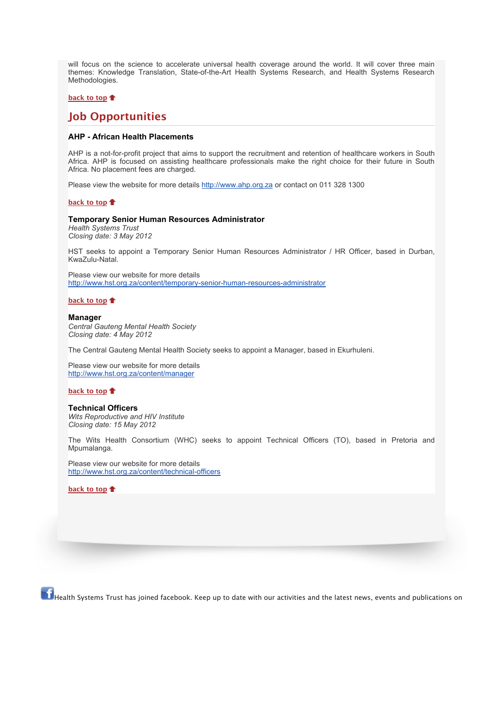will focus on the science to accelerate universal health coverage around the world. It will cover three main themes: Knowledge Translation, State-of-the-Art Health Systems Research, and Health Systems Research Methodologies.

#### **[back to top](x-msg://62/#top)**

## **Job Opportunities**

## **AHP - African Health Placements**

AHP is a not-for-profit project that aims to support the recruitment and retention of healthcare workers in South Africa. AHP is focused on assisting healthcare professionals make the right choice for their future in South Africa. No placement fees are charged.

Please view the website for more details [http://www.ahp.org.za](http://bulletin.hst.org.za//lt.php?id=K09UD1FcUQ4ESlBVA0UHClxV) or contact on 011 328 1300

#### **[back to top](x-msg://62/#top)**

#### **Temporary Senior Human Resources Administrator**

*Health Systems Trust Closing date: 3 May 2012*

HST seeks to appoint a Temporary Senior Human Resources Administrator / HR Officer, based in Durban, KwaZulu-Natal.

Please view our website for more details [http://www.hst.org.za/content/temporary-senior-human-resources-administrator](http://bulletin.hst.org.za//lt.php?id=K09UD1FcUQ4DSlBVA0UHClxV)

**[back to top](x-msg://62/#top)**

#### **Manager**

*Central Gauteng Mental Health Society Closing date: 4 May 2012*

The Central Gauteng Mental Health Society seeks to appoint a Manager, based in Ekurhuleni.

Please view our website for more details [http://www.hst.org.za/content/manager](http://bulletin.hst.org.za//lt.php?id=K09UD1FcUQ4CSlBVA0UHClxV)

## **[back to top](x-msg://62/#top)**

### **Technical Officers**

*Wits Reproductive and HIV Institute Closing date: 15 May 2012*

The Wits Health Consortium (WHC) seeks to appoint Technical Officers (TO), based in Pretoria and Mpumalanga.

Please view our website for more details [http://www.hst.org.za/content/technical-officers](http://bulletin.hst.org.za//lt.php?id=K09UD1FcUQ4BSlBVA0UHClxV)

**[back to top](x-msg://62/#top)**

 $\bf{f}$  Health Systems Trust has joined facebook. Keep up to date with our activities and the latest news, events and publications on